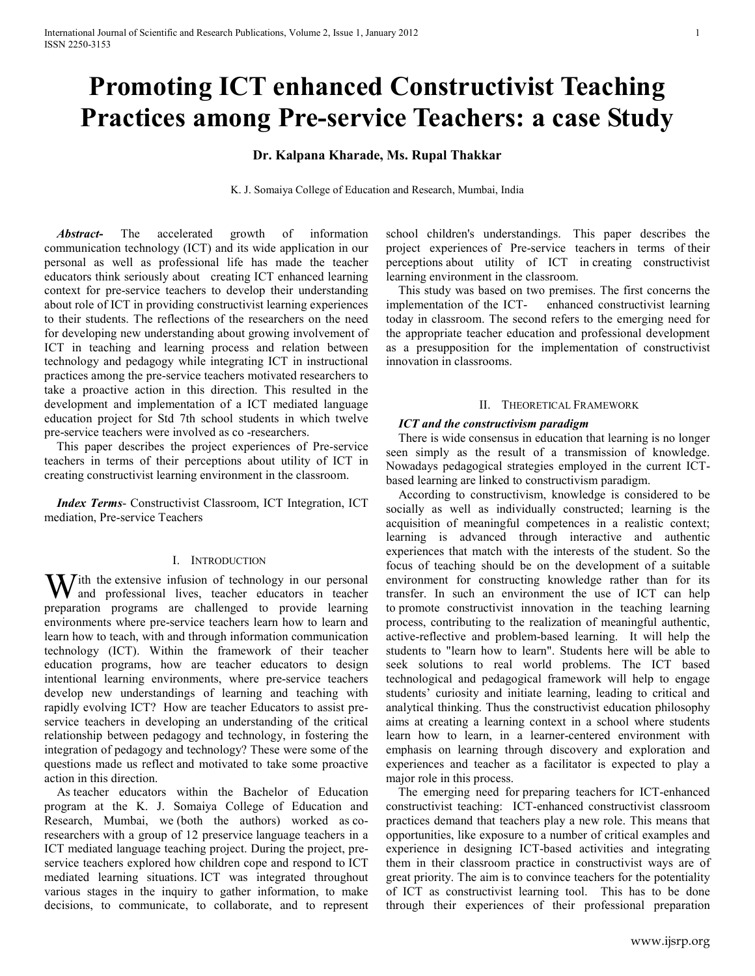# **Promoting ICT enhanced Constructivist Teaching Practices among Pre-service Teachers: a case Study**

# **Dr. Kalpana Kharade, Ms. Rupal Thakkar**

K. J. Somaiya College of Education and Research, Mumbai, India

 *Abstract***-** The accelerated growth of information communication technology (ICT) and its wide application in our personal as well as professional life has made the teacher educators think seriously about creating ICT enhanced learning context for pre-service teachers to develop their understanding about role of ICT in providing constructivist learning experiences to their students. The reflections of the researchers on the need for developing new understanding about growing involvement of ICT in teaching and learning process and relation between technology and pedagogy while integrating ICT in instructional practices among the pre-service teachers motivated researchers to take a proactive action in this direction. This resulted in the development and implementation of a ICT mediated language education project for Std 7th school students in which twelve pre-service teachers were involved as co -researchers.

 This paper describes the project experiences of Pre-service teachers in terms of their perceptions about utility of ICT in creating constructivist learning environment in the classroom.

 *Index Terms*- Constructivist Classroom, ICT Integration, ICT mediation, Pre-service Teachers

#### I. INTRODUCTION

W ith the extensive infusion of technology in our personal and professional lives, teacher educators in teacher and professional lives, teacher educators in teacher preparation programs are challenged to provide learning environments where pre-service teachers learn how to learn and learn how to teach, with and through information communication technology (ICT). Within the framework of their teacher education programs, how are teacher educators to design intentional learning environments, where pre-service teachers develop new understandings of learning and teaching with rapidly evolving ICT? How are teacher Educators to assist preservice teachers in developing an understanding of the critical relationship between pedagogy and technology, in fostering the integration of pedagogy and technology? These were some of the questions made us reflect and motivated to take some proactive action in this direction.

 As teacher educators within the Bachelor of Education program at the K. J. Somaiya College of Education and Research, Mumbai, we (both the authors) worked as coresearchers with a group of 12 preservice language teachers in a ICT mediated language teaching project. During the project, preservice teachers explored how children cope and respond to ICT mediated learning situations. ICT was integrated throughout various stages in the inquiry to gather information, to make decisions, to communicate, to collaborate, and to represent school children's understandings. This paper describes the project experiences of Pre-service teachers in terms of their perceptions about utility of ICT in creating constructivist learning environment in the classroom.

 This study was based on two premises. The first concerns the implementation of the ICT- enhanced constructivist learning today in classroom. The second refers to the emerging need for the appropriate teacher education and professional development as a presupposition for the implementation of constructivist innovation in classrooms.

#### II. THEORETICAL FRAMEWORK

#### *ICT and the constructivism paradigm*

There is wide consensus in education that learning is no longer seen simply as the result of a transmission of knowledge. Nowadays pedagogical strategies employed in the current ICTbased learning are linked to constructivism paradigm.

 According to constructivism, knowledge is considered to be socially as well as individually constructed; learning is the acquisition of meaningful competences in a realistic context; learning is advanced through interactive and authentic experiences that match with the interests of the student. So the focus of teaching should be on the development of a suitable environment for constructing knowledge rather than for its transfer. In such an environment the use of ICT can help to promote constructivist innovation in the teaching learning process, contributing to the realization of meaningful authentic, active-reflective and problem-based learning. It will help the students to "learn how to learn". Students here will be able to seek solutions to real world problems. The ICT based technological and pedagogical framework will help to engage students' curiosity and initiate learning, leading to critical and analytical thinking. Thus the constructivist education philosophy aims at creating a learning context in a school where students learn how to learn, in a learner-centered environment with emphasis on learning through discovery and exploration and experiences and teacher as a facilitator is expected to play a major role in this process.

 The emerging need for preparing teachers for ICT-enhanced constructivist teaching: ICT-enhanced constructivist classroom practices demand that teachers play a new role. This means that opportunities, like exposure to a number of critical examples and experience in designing ICT-based activities and integrating them in their classroom practice in constructivist ways are of great priority. The aim is to convince teachers for the potentiality of ICT as constructivist learning tool. This has to be done through their experiences of their professional preparation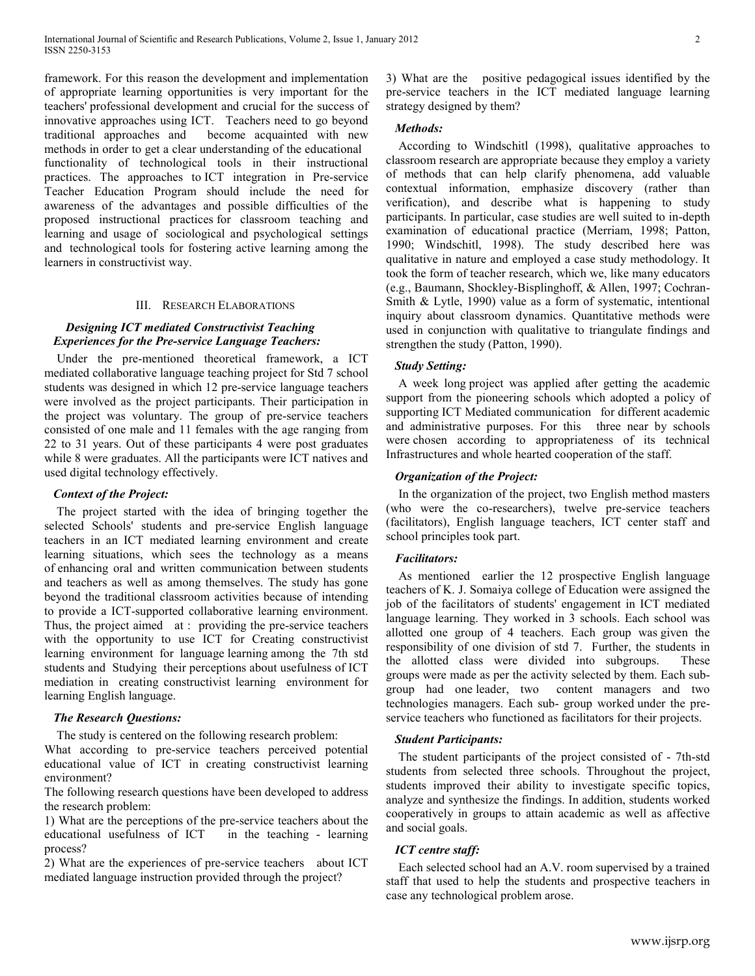framework. For this reason the development and implementation of appropriate learning opportunities is very important for the teachers' professional development and crucial for the success of innovative approaches using ICT. Teachers need to go beyond traditional approaches and become acquainted with new methods in order to get a clear understanding of the educational functionality of technological tools in their instructional practices. The approaches to ICT integration in Pre-service Teacher Education Program should include the need for awareness of the advantages and possible difficulties of the proposed instructional practices for classroom teaching and learning and usage of sociological and psychological settings and technological tools for fostering active learning among the learners in constructivist way.

#### III. RESEARCH ELABORATIONS

## *Designing ICT mediated Constructivist Teaching Experiences for the Pre-service Language Teachers:*

 Under the pre-mentioned theoretical framework, a ICT mediated collaborative language teaching project for Std 7 school students was designed in which 12 pre-service language teachers were involved as the project participants. Their participation in the project was voluntary. The group of pre-service teachers consisted of one male and 11 females with the age ranging from 22 to 31 years. Out of these participants 4 were post graduates while 8 were graduates. All the participants were ICT natives and used digital technology effectively.

## *Context of the Project:*

 The project started with the idea of bringing together the selected Schools' students and pre-service English language teachers in an ICT mediated learning environment and create learning situations, which sees the technology as a means of enhancing oral and written communication between students and teachers as well as among themselves. The study has gone beyond the traditional classroom activities because of intending to provide a ICT-supported collaborative learning environment. Thus, the project aimed at : providing the pre-service teachers with the opportunity to use ICT for Creating constructivist learning environment for language learning among the 7th std students and Studying their perceptions about usefulness of ICT mediation in creating constructivist learning environment for learning English language.

## *The Research Questions:*

The study is centered on the following research problem:

What according to pre-service teachers perceived potential educational value of ICT in creating constructivist learning environment?

The following research questions have been developed to address the research problem:

1) What are the perceptions of the pre-service teachers about the educational usefulness of ICT in the teaching - learning process?

2) What are the experiences of pre-service teachers about ICT mediated language instruction provided through the project?

3) What are the positive pedagogical issues identified by the pre-service teachers in the ICT mediated language learning strategy designed by them?

#### *Methods:*

 According to Windschitl (1998), qualitative approaches to classroom research are appropriate because they employ a variety of methods that can help clarify phenomena, add valuable contextual information, emphasize discovery (rather than verification), and describe what is happening to study participants. In particular, case studies are well suited to in-depth examination of educational practice (Merriam, 1998; Patton, 1990; Windschitl, 1998). The study described here was qualitative in nature and employed a case study methodology. It took the form of teacher research, which we, like many educators (e.g., Baumann, Shockley-Bisplinghoff, & Allen, 1997; Cochran-Smith & Lytle, 1990) value as a form of systematic, intentional inquiry about classroom dynamics. Quantitative methods were used in conjunction with qualitative to triangulate findings and strengthen the study (Patton, 1990).

# *Study Setting:*

 A week long project was applied after getting the academic support from the pioneering schools which adopted a policy of supporting ICT Mediated communication for different academic and administrative purposes. For this three near by schools were chosen according to appropriateness of its technical Infrastructures and whole hearted cooperation of the staff.

## *Organization of the Project:*

 In the organization of the project, two English method masters (who were the co-researchers), twelve pre-service teachers (facilitators), English language teachers, ICT center staff and school principles took part.

## *Facilitators:*

 As mentioned earlier the 12 prospective English language teachers of K. J. Somaiya college of Education were assigned the job of the facilitators of students' engagement in ICT mediated language learning. They worked in 3 schools. Each school was allotted one group of 4 teachers. Each group was given the responsibility of one division of std 7. Further, the students in the allotted class were divided into subgroups. These groups were made as per the activity selected by them. Each subgroup had one leader, two content managers and two technologies managers. Each sub- group worked under the preservice teachers who functioned as facilitators for their projects.

## *Student Participants:*

 The student participants of the project consisted of - 7th-std students from selected three schools. Throughout the project, students improved their ability to investigate specific topics, analyze and synthesize the findings. In addition, students worked cooperatively in groups to attain academic as well as affective and social goals.

## *ICT centre staff:*

 Each selected school had an A.V. room supervised by a trained staff that used to help the students and prospective teachers in case any technological problem arose.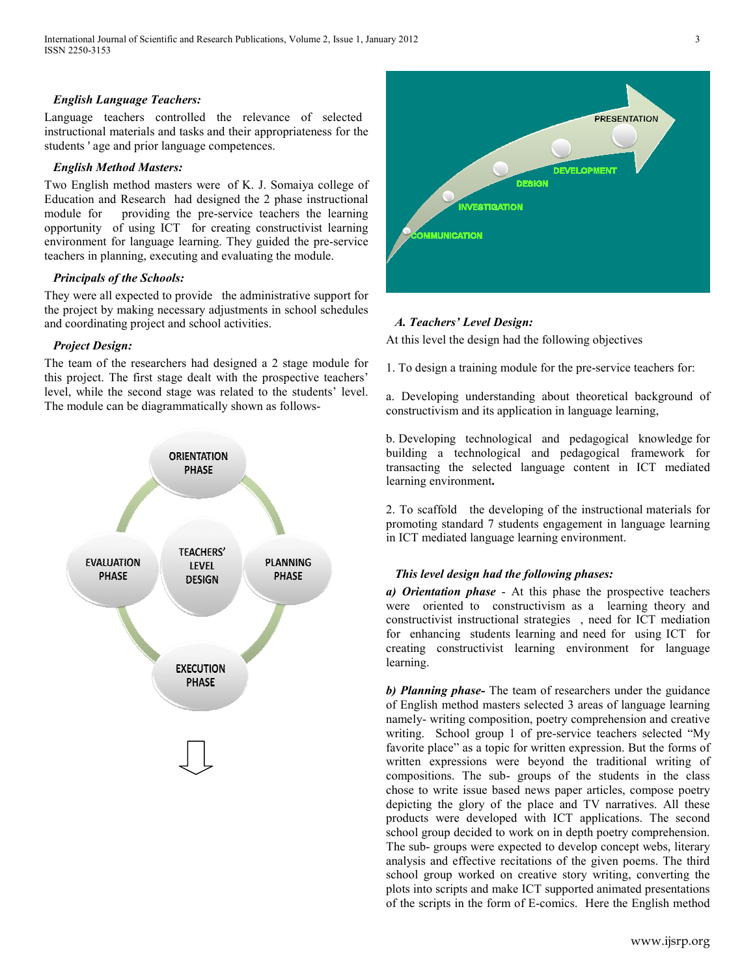## *English Language Teachers:*

Language teachers controlled the relevance of selected instructional materials and tasks and their appropriateness for the students ' age and prior language competences.

#### *English Method Masters:*

Two English method masters were of K. J. Somaiya college of Education and Research had designed the 2 phase instructional module for providing the pre-service teachers the learning opportunity of using ICT for creating constructivist learning environment for language learning. They guided the pre-service teachers in planning, executing and evaluating the module.

# *Principals of the Schools:*

They were all expected to provide the administrative support for the project by making necessary adjustments in school schedules and coordinating project and school activities.

## *Project Design:*

The team of the researchers had designed a 2 stage module for this project. The first stage dealt with the prospective teachers' level, while the second stage was related to the students' level. The module can be diagrammatically shown as follows-





# *A. Teachers' Level Design:*

At this level the design had the following objectives

1. To design a training module for the pre-service teachers for:

a. Developing understanding about theoretical background of constructivism and its application in language learning,

b. Developing technological and pedagogical knowledge for building a technological and pedagogical framework for transacting the selected language content in ICT mediated learning environment**.** 

2. To scaffold the developing of the instructional materials for promoting standard 7 students engagement in language learning in ICT mediated language learning environment.

#### *This level design had the following phases:*

*a) Orientation phase* - At this phase the prospective teachers were oriented to constructivism as a learning theory and constructivist instructional strategies , need for ICT mediation for enhancing students learning and need for using ICT for creating constructivist learning environment for language learning.

*b) Planning phase-* The team of researchers under the guidance of English method masters selected 3 areas of language learning namely- writing composition, poetry comprehension and creative writing. School group 1 of pre-service teachers selected "My favorite place" as a topic for written expression. But the forms of written expressions were beyond the traditional writing of compositions. The sub- groups of the students in the class chose to write issue based news paper articles, compose poetry depicting the glory of the place and TV narratives. All these products were developed with ICT applications. The second school group decided to work on in depth poetry comprehension. The sub- groups were expected to develop concept webs, literary analysis and effective recitations of the given poems. The third school group worked on creative story writing, converting the plots into scripts and make ICT supported animated presentations of the scripts in the form of E-comics. Here the English method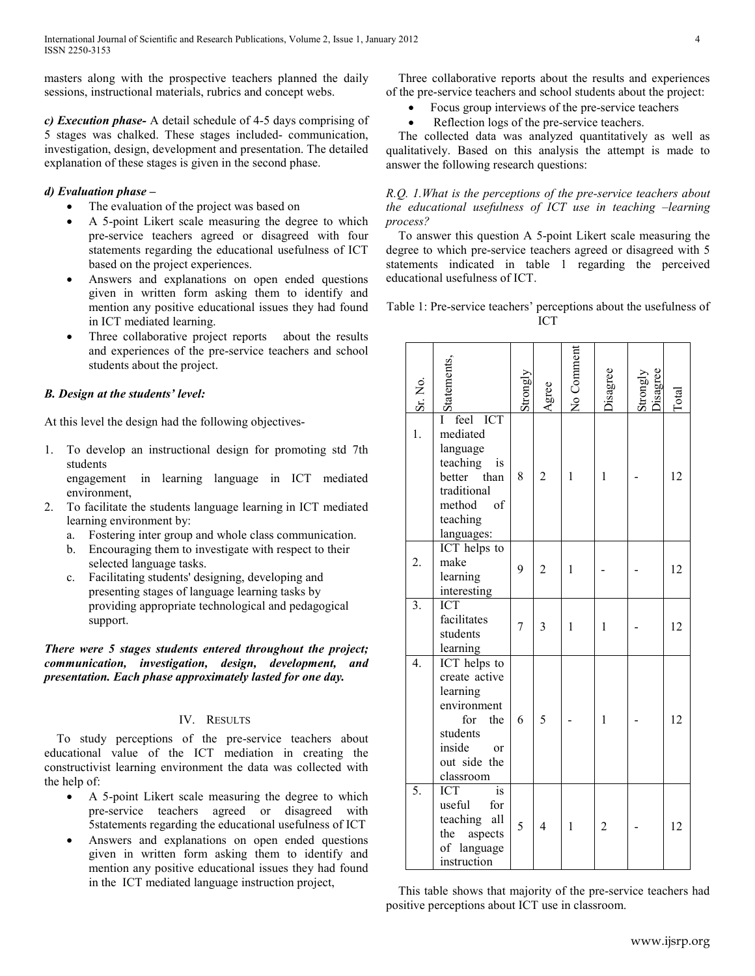masters along with the prospective teachers planned the daily sessions, instructional materials, rubrics and concept webs.

*c) Execution phase-* A detail schedule of 4-5 days comprising of 5 stages was chalked. These stages included- communication, investigation, design, development and presentation. The detailed explanation of these stages is given in the second phase.

# *d) Evaluation phase –*

- The evaluation of the project was based on
- A 5-point Likert scale measuring the degree to which pre-service teachers agreed or disagreed with four statements regarding the educational usefulness of ICT based on the project experiences.
- Answers and explanations on open ended questions given in written form asking them to identify and mention any positive educational issues they had found in ICT mediated learning.
- Three collaborative project reports about the results and experiences of the pre-service teachers and school students about the project.

## *B. Design at the students' level:*

At this level the design had the following objectives-

1. To develop an instructional design for promoting std 7th students

engagement in learning language in ICT mediated environment,

- 2. To facilitate the students language learning in ICT mediated learning environment by:
	- a. Fostering inter group and whole class communication.
	- b. Encouraging them to investigate with respect to their selected language tasks.
	- c. Facilitating students' designing, developing and presenting stages of language learning tasks by providing appropriate technological and pedagogical support.

# *There were 5 stages students entered throughout the project; communication, investigation, design, development, and presentation. Each phase approximately lasted for one day.*

# IV. RESULTS

 To study perceptions of the pre-service teachers about educational value of the ICT mediation in creating the constructivist learning environment the data was collected with the help of:

- A 5-point Likert scale measuring the degree to which pre-service teachers agreed or disagreed with 5statements regarding the educational usefulness of ICT
- Answers and explanations on open ended questions given in written form asking them to identify and mention any positive educational issues they had found in the ICT mediated language instruction project,

 Three collaborative reports about the results and experiences of the pre-service teachers and school students about the project:

- Focus group interviews of the pre-service teachers
- Reflection logs of the pre-service teachers.

 The collected data was analyzed quantitatively as well as qualitatively. Based on this analysis the attempt is made to answer the following research questions:

## *R.Q. 1.What is the perceptions of the pre-service teachers about the educational usefulness of ICT use in teaching –learning process?*

 To answer this question A 5-point Likert scale measuring the degree to which pre-service teachers agreed or disagreed with 5 statements indicated in table 1 regarding the perceived educational usefulness of ICT.

Table 1: Pre-service teachers' perceptions about the usefulness of ICT

| Sr. No.          | <b>Statements</b>                                                                                                                         | Strongly | Agree                    | No Comment   | <b>Jisagree</b> | Strongly<br>Disagree | $\Gamma$ otal |
|------------------|-------------------------------------------------------------------------------------------------------------------------------------------|----------|--------------------------|--------------|-----------------|----------------------|---------------|
| 1.               | <b>ICT</b><br>feel<br>Ī<br>mediated<br>language<br>teaching<br>is<br>better than<br>traditional<br>method<br>of<br>teaching<br>languages: | 8        | $\overline{2}$           | 1            | 1               |                      | 12            |
| 2.               | ICT helps to<br>make<br>learning<br>interesting                                                                                           | 9        | $\overline{2}$           | $\mathbf{1}$ |                 |                      | 12            |
| $\overline{3}$ . | <b>ICT</b><br>facilitates<br>students<br>learning                                                                                         | 7        | 3                        | $\mathbf{1}$ | 1               |                      | 12            |
| 4.               | ICT helps to<br>create active<br>learning<br>environment<br>for the<br>students<br>inside<br>or<br>out side the<br>classroom              | 6        | 5                        |              | $\mathbf{1}$    |                      | 12            |
| 5.               | $\overline{\mathbf{i}}$ s<br><b>ICT</b><br>useful<br>for<br>teaching<br>all<br>the<br>aspects<br>of language<br>instruction               | 5        | $\overline{\mathcal{L}}$ | 1            | $\overline{2}$  |                      | 12            |

 This table shows that majority of the pre-service teachers had positive perceptions about ICT use in classroom.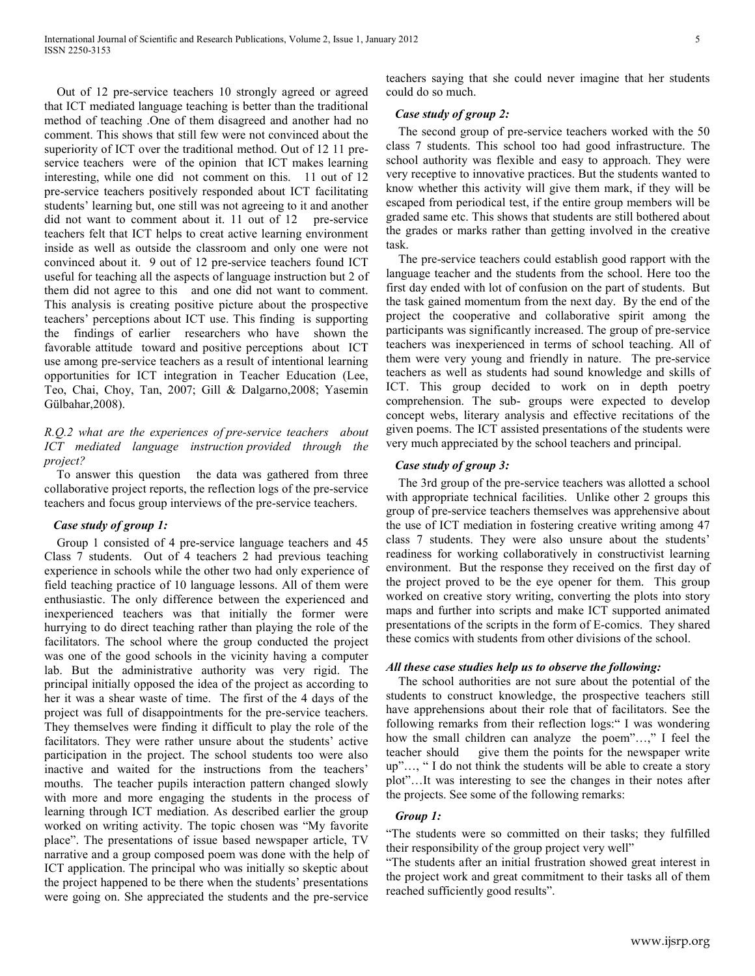Out of 12 pre-service teachers 10 strongly agreed or agreed that ICT mediated language teaching is better than the traditional method of teaching .One of them disagreed and another had no comment. This shows that still few were not convinced about the superiority of ICT over the traditional method. Out of 12 11 preservice teachers were of the opinion that ICT makes learning interesting, while one did not comment on this. 11 out of 12 pre-service teachers positively responded about ICT facilitating students' learning but, one still was not agreeing to it and another did not want to comment about it. 11 out of 12 pre-service teachers felt that ICT helps to creat active learning environment inside as well as outside the classroom and only one were not convinced about it. 9 out of 12 pre-service teachers found ICT useful for teaching all the aspects of language instruction but 2 of them did not agree to this and one did not want to comment. This analysis is creating positive picture about the prospective teachers' perceptions about ICT use. This finding is supporting the findings of earlier researchers who have shown the favorable attitude toward and positive perceptions about ICT use among pre-service teachers as a result of intentional learning opportunities for ICT integration in Teacher Education (Lee, Teo, Chai, Choy, Tan, 2007; Gill & Dalgarno,2008; Yasemin Gülbahar,2008).

*R.Q.2 what are the experiences of pre-service teachers about ICT mediated language instruction provided through the project?* 

 To answer this question the data was gathered from three collaborative project reports, the reflection logs of the pre-service teachers and focus group interviews of the pre-service teachers.

## *Case study of group 1:*

 Group 1 consisted of 4 pre-service language teachers and 45 Class 7 students. Out of 4 teachers 2 had previous teaching experience in schools while the other two had only experience of field teaching practice of 10 language lessons. All of them were enthusiastic. The only difference between the experienced and inexperienced teachers was that initially the former were hurrying to do direct teaching rather than playing the role of the facilitators. The school where the group conducted the project was one of the good schools in the vicinity having a computer lab. But the administrative authority was very rigid. The principal initially opposed the idea of the project as according to her it was a shear waste of time. The first of the 4 days of the project was full of disappointments for the pre-service teachers. They themselves were finding it difficult to play the role of the facilitators. They were rather unsure about the students' active participation in the project. The school students too were also inactive and waited for the instructions from the teachers' mouths. The teacher pupils interaction pattern changed slowly with more and more engaging the students in the process of learning through ICT mediation. As described earlier the group worked on writing activity. The topic chosen was "My favorite place". The presentations of issue based newspaper article, TV narrative and a group composed poem was done with the help of ICT application. The principal who was initially so skeptic about the project happened to be there when the students' presentations were going on. She appreciated the students and the pre-service teachers saying that she could never imagine that her students could do so much.

#### *Case study of group 2:*

 The second group of pre-service teachers worked with the 50 class 7 students. This school too had good infrastructure. The school authority was flexible and easy to approach. They were very receptive to innovative practices. But the students wanted to know whether this activity will give them mark, if they will be escaped from periodical test, if the entire group members will be graded same etc. This shows that students are still bothered about the grades or marks rather than getting involved in the creative task.

 The pre-service teachers could establish good rapport with the language teacher and the students from the school. Here too the first day ended with lot of confusion on the part of students. But the task gained momentum from the next day. By the end of the project the cooperative and collaborative spirit among the participants was significantly increased. The group of pre-service teachers was inexperienced in terms of school teaching. All of them were very young and friendly in nature. The pre-service teachers as well as students had sound knowledge and skills of ICT. This group decided to work on in depth poetry comprehension. The sub- groups were expected to develop concept webs, literary analysis and effective recitations of the given poems. The ICT assisted presentations of the students were very much appreciated by the school teachers and principal.

#### *Case study of group 3:*

 The 3rd group of the pre-service teachers was allotted a school with appropriate technical facilities. Unlike other 2 groups this group of pre-service teachers themselves was apprehensive about the use of ICT mediation in fostering creative writing among 47 class 7 students. They were also unsure about the students' readiness for working collaboratively in constructivist learning environment. But the response they received on the first day of the project proved to be the eye opener for them. This group worked on creative story writing, converting the plots into story maps and further into scripts and make ICT supported animated presentations of the scripts in the form of E-comics. They shared these comics with students from other divisions of the school.

## *All these case studies help us to observe the following:*

 The school authorities are not sure about the potential of the students to construct knowledge, the prospective teachers still have apprehensions about their role that of facilitators. See the following remarks from their reflection logs:" I was wondering how the small children can analyze the poem"...," I feel the teacher should give them the points for the newspaper write up"…, " I do not think the students will be able to create a story plot"…It was interesting to see the changes in their notes after the projects. See some of the following remarks:

# *Group 1:*

"The students were so committed on their tasks; they fulfilled their responsibility of the group project very well"

"The students after an initial frustration showed great interest in the project work and great commitment to their tasks all of them reached sufficiently good results".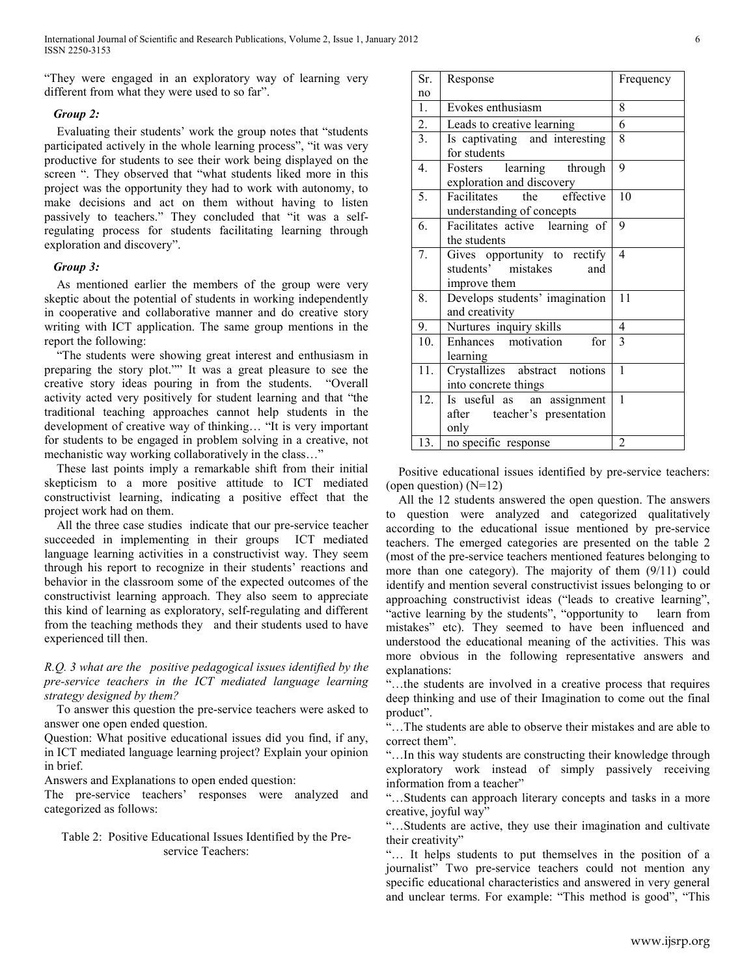"They were engaged in an exploratory way of learning very different from what they were used to so far".

## *Group 2:*

 Evaluating their students' work the group notes that "students participated actively in the whole learning process", "it was very productive for students to see their work being displayed on the screen ". They observed that "what students liked more in this project was the opportunity they had to work with autonomy, to make decisions and act on them without having to listen passively to teachers." They concluded that "it was a selfregulating process for students facilitating learning through exploration and discovery".

## *Group 3:*

 As mentioned earlier the members of the group were very skeptic about the potential of students in working independently in cooperative and collaborative manner and do creative story writing with ICT application. The same group mentions in the report the following:

 "The students were showing great interest and enthusiasm in preparing the story plot."" It was a great pleasure to see the creative story ideas pouring in from the students. "Overall activity acted very positively for student learning and that "the traditional teaching approaches cannot help students in the development of creative way of thinking… "It is very important for students to be engaged in problem solving in a creative, not mechanistic way working collaboratively in the class…"

 These last points imply a remarkable shift from their initial skepticism to a more positive attitude to ICT mediated constructivist learning, indicating a positive effect that the project work had on them.

 All the three case studies indicate that our pre-service teacher succeeded in implementing in their groups ICT mediated language learning activities in a constructivist way. They seem through his report to recognize in their students' reactions and behavior in the classroom some of the expected outcomes of the constructivist learning approach. They also seem to appreciate this kind of learning as exploratory, self-regulating and different from the teaching methods they and their students used to have experienced till then.

*R.Q. 3 what are the positive pedagogical issues identified by the pre-service teachers in the ICT mediated language learning strategy designed by them?*

 To answer this question the pre-service teachers were asked to answer one open ended question.

Question: What positive educational issues did you find, if any, in ICT mediated language learning project? Explain your opinion in brief.

Answers and Explanations to open ended question:

The pre-service teachers' responses were analyzed and categorized as follows:

# Table 2: Positive Educational Issues Identified by the Preservice Teachers:

| Sr.              | Response                                                                  | Frequency      |  |
|------------------|---------------------------------------------------------------------------|----------------|--|
| no               |                                                                           |                |  |
| $\mathbf{1}$ .   | Evokes enthusiasm                                                         | 8              |  |
| $\overline{2}$ . | Leads to creative learning                                                | 6              |  |
| 3.               | Is captivating and interesting<br>for students                            | 8              |  |
| 4.               | Fosters learning through<br>exploration and discovery                     | 9              |  |
| 5.               | Facilitates the effective<br>understanding of concepts                    | 10             |  |
| 6.               | Facilitates active learning of<br>the students                            | 9              |  |
| 7.               | Gives opportunity to rectify<br>students' mistakes<br>and<br>improve them | $\overline{4}$ |  |
| 8.               | Develops students' imagination<br>and creativity                          | 11             |  |
| 9.               | Nurtures inquiry skills                                                   | $\overline{4}$ |  |
| 10 <sub>1</sub>  | Enhances motivation<br>for<br>learning                                    | 3              |  |
| 11.              | Crystallizes abstract notions<br>into concrete things                     | $\mathbf{1}$   |  |
| 12.              | Is useful as an assignment<br>after teacher's presentation<br>only        | 1              |  |
| 13.              | no specific response                                                      | $\overline{2}$ |  |

 Positive educational issues identified by pre-service teachers: (open question)  $(N=12)$ 

 All the 12 students answered the open question. The answers to question were analyzed and categorized qualitatively according to the educational issue mentioned by pre-service teachers. The emerged categories are presented on the table 2 (most of the pre-service teachers mentioned features belonging to more than one category). The majority of them (9/11) could identify and mention several constructivist issues belonging to or approaching constructivist ideas ("leads to creative learning", "active learning by the students", "opportunity to learn from mistakes" etc). They seemed to have been influenced and understood the educational meaning of the activities. This was more obvious in the following representative answers and explanations:

"…the students are involved in a creative process that requires deep thinking and use of their Imagination to come out the final product".

"…The students are able to observe their mistakes and are able to correct them".

"…In this way students are constructing their knowledge through exploratory work instead of simply passively receiving information from a teacher"

"…Students can approach literary concepts and tasks in a more creative, joyful way"

"…Students are active, they use their imagination and cultivate their creativity"

"… It helps students to put themselves in the position of a journalist" Two pre-service teachers could not mention any specific educational characteristics and answered in very general and unclear terms. For example: "This method is good", "This